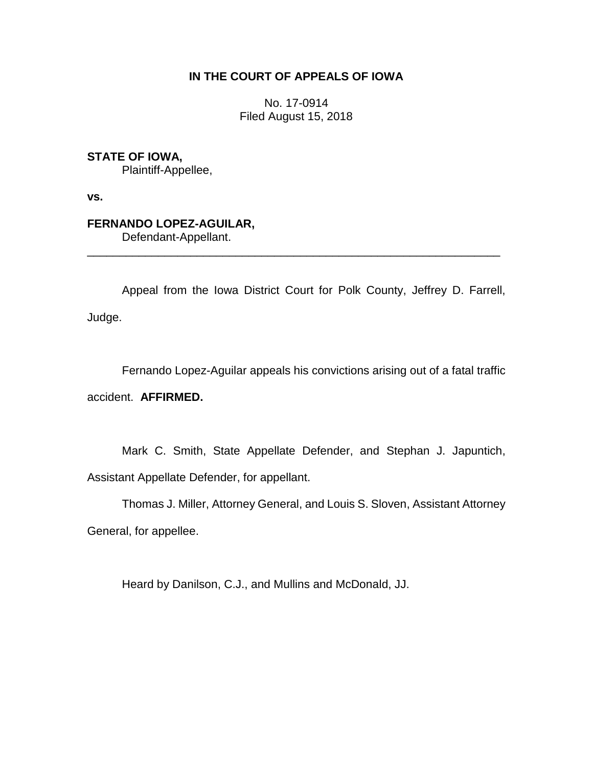## **IN THE COURT OF APPEALS OF IOWA**

No. 17-0914 Filed August 15, 2018

**STATE OF IOWA,**

Plaintiff-Appellee,

**vs.**

# **FERNANDO LOPEZ-AGUILAR,**

Defendant-Appellant.

Appeal from the Iowa District Court for Polk County, Jeffrey D. Farrell, Judge.

\_\_\_\_\_\_\_\_\_\_\_\_\_\_\_\_\_\_\_\_\_\_\_\_\_\_\_\_\_\_\_\_\_\_\_\_\_\_\_\_\_\_\_\_\_\_\_\_\_\_\_\_\_\_\_\_\_\_\_\_\_\_\_\_

Fernando Lopez-Aguilar appeals his convictions arising out of a fatal traffic accident. **AFFIRMED.**

Mark C. Smith, State Appellate Defender, and Stephan J. Japuntich, Assistant Appellate Defender, for appellant.

Thomas J. Miller, Attorney General, and Louis S. Sloven, Assistant Attorney General, for appellee.

Heard by Danilson, C.J., and Mullins and McDonald, JJ.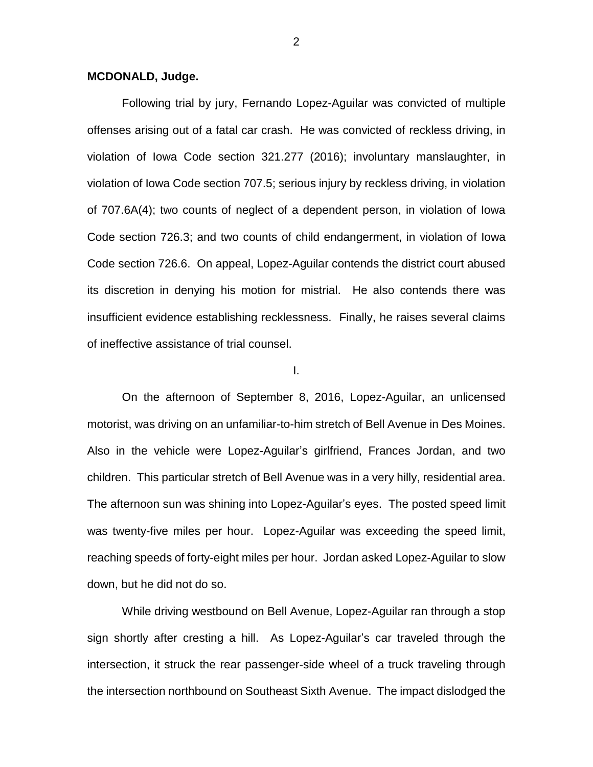### **MCDONALD, Judge.**

Following trial by jury, Fernando Lopez-Aguilar was convicted of multiple offenses arising out of a fatal car crash. He was convicted of reckless driving, in violation of Iowa Code section 321.277 (2016); involuntary manslaughter, in violation of Iowa Code section 707.5; serious injury by reckless driving, in violation of 707.6A(4); two counts of neglect of a dependent person, in violation of Iowa Code section 726.3; and two counts of child endangerment, in violation of Iowa Code section 726.6. On appeal, Lopez-Aguilar contends the district court abused its discretion in denying his motion for mistrial. He also contends there was insufficient evidence establishing recklessness. Finally, he raises several claims of ineffective assistance of trial counsel.

#### I.

On the afternoon of September 8, 2016, Lopez-Aguilar, an unlicensed motorist, was driving on an unfamiliar-to-him stretch of Bell Avenue in Des Moines. Also in the vehicle were Lopez-Aguilar's girlfriend, Frances Jordan, and two children. This particular stretch of Bell Avenue was in a very hilly, residential area. The afternoon sun was shining into Lopez-Aguilar's eyes. The posted speed limit was twenty-five miles per hour. Lopez-Aguilar was exceeding the speed limit, reaching speeds of forty-eight miles per hour. Jordan asked Lopez-Aguilar to slow down, but he did not do so.

While driving westbound on Bell Avenue, Lopez-Aguilar ran through a stop sign shortly after cresting a hill. As Lopez-Aguilar's car traveled through the intersection, it struck the rear passenger-side wheel of a truck traveling through the intersection northbound on Southeast Sixth Avenue. The impact dislodged the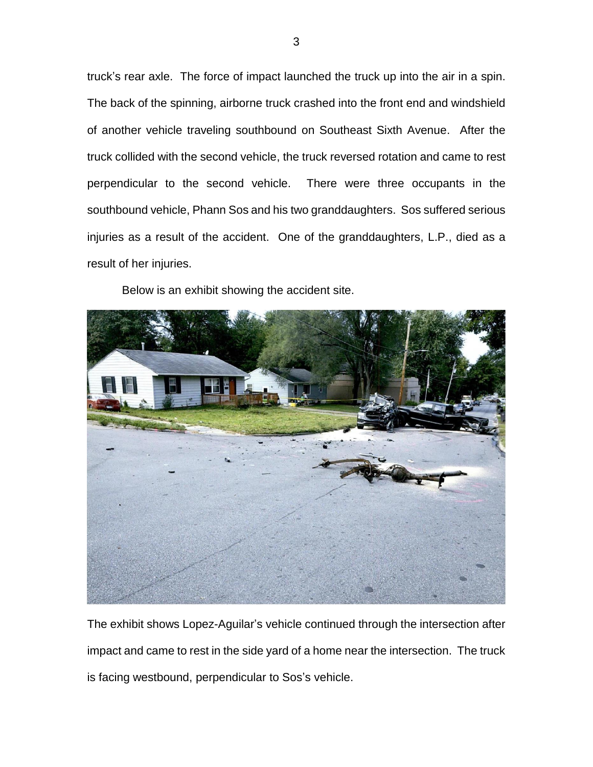truck's rear axle. The force of impact launched the truck up into the air in a spin. The back of the spinning, airborne truck crashed into the front end and windshield of another vehicle traveling southbound on Southeast Sixth Avenue. After the truck collided with the second vehicle, the truck reversed rotation and came to rest perpendicular to the second vehicle. There were three occupants in the southbound vehicle, Phann Sos and his two granddaughters. Sos suffered serious injuries as a result of the accident. One of the granddaughters, L.P., died as a result of her injuries.

Below is an exhibit showing the accident site.



The exhibit shows Lopez-Aguilar's vehicle continued through the intersection after impact and came to rest in the side yard of a home near the intersection. The truck is facing westbound, perpendicular to Sos's vehicle.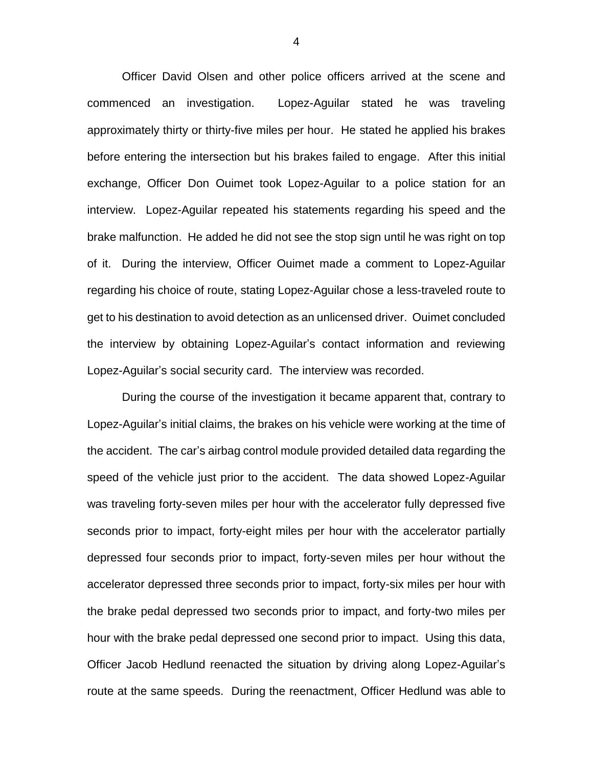Officer David Olsen and other police officers arrived at the scene and commenced an investigation. Lopez-Aguilar stated he was traveling approximately thirty or thirty-five miles per hour. He stated he applied his brakes before entering the intersection but his brakes failed to engage. After this initial exchange, Officer Don Ouimet took Lopez-Aguilar to a police station for an interview. Lopez-Aguilar repeated his statements regarding his speed and the brake malfunction. He added he did not see the stop sign until he was right on top of it. During the interview, Officer Ouimet made a comment to Lopez-Aguilar regarding his choice of route, stating Lopez-Aguilar chose a less-traveled route to get to his destination to avoid detection as an unlicensed driver. Ouimet concluded the interview by obtaining Lopez-Aguilar's contact information and reviewing Lopez-Aguilar's social security card. The interview was recorded.

During the course of the investigation it became apparent that, contrary to Lopez-Aguilar's initial claims, the brakes on his vehicle were working at the time of the accident. The car's airbag control module provided detailed data regarding the speed of the vehicle just prior to the accident. The data showed Lopez-Aguilar was traveling forty-seven miles per hour with the accelerator fully depressed five seconds prior to impact, forty-eight miles per hour with the accelerator partially depressed four seconds prior to impact, forty-seven miles per hour without the accelerator depressed three seconds prior to impact, forty-six miles per hour with the brake pedal depressed two seconds prior to impact, and forty-two miles per hour with the brake pedal depressed one second prior to impact. Using this data, Officer Jacob Hedlund reenacted the situation by driving along Lopez-Aguilar's route at the same speeds. During the reenactment, Officer Hedlund was able to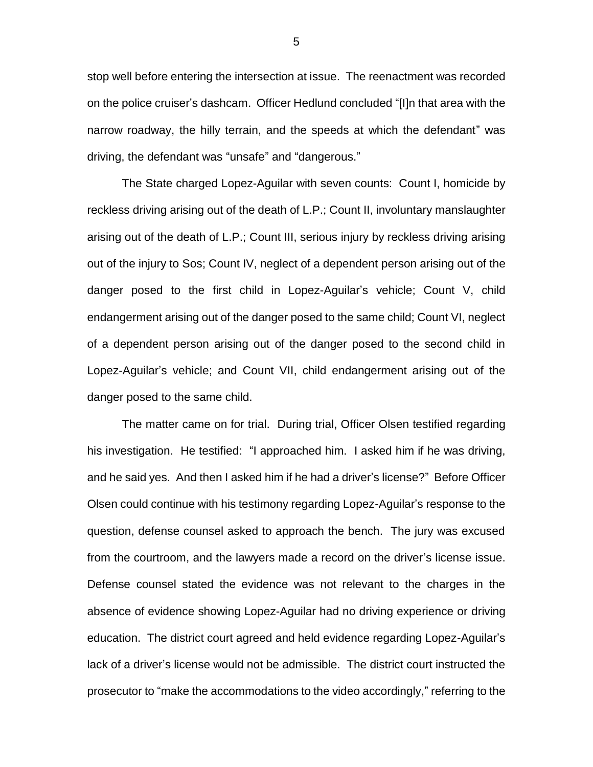stop well before entering the intersection at issue. The reenactment was recorded on the police cruiser's dashcam. Officer Hedlund concluded "[I]n that area with the narrow roadway, the hilly terrain, and the speeds at which the defendant" was driving, the defendant was "unsafe" and "dangerous."

The State charged Lopez-Aguilar with seven counts: Count I, homicide by reckless driving arising out of the death of L.P.; Count II, involuntary manslaughter arising out of the death of L.P.; Count III, serious injury by reckless driving arising out of the injury to Sos; Count IV, neglect of a dependent person arising out of the danger posed to the first child in Lopez-Aguilar's vehicle; Count V, child endangerment arising out of the danger posed to the same child; Count VI, neglect of a dependent person arising out of the danger posed to the second child in Lopez-Aguilar's vehicle; and Count VII, child endangerment arising out of the danger posed to the same child.

The matter came on for trial. During trial, Officer Olsen testified regarding his investigation. He testified: "I approached him. I asked him if he was driving, and he said yes. And then I asked him if he had a driver's license?" Before Officer Olsen could continue with his testimony regarding Lopez-Aguilar's response to the question, defense counsel asked to approach the bench. The jury was excused from the courtroom, and the lawyers made a record on the driver's license issue. Defense counsel stated the evidence was not relevant to the charges in the absence of evidence showing Lopez-Aguilar had no driving experience or driving education. The district court agreed and held evidence regarding Lopez-Aguilar's lack of a driver's license would not be admissible. The district court instructed the prosecutor to "make the accommodations to the video accordingly," referring to the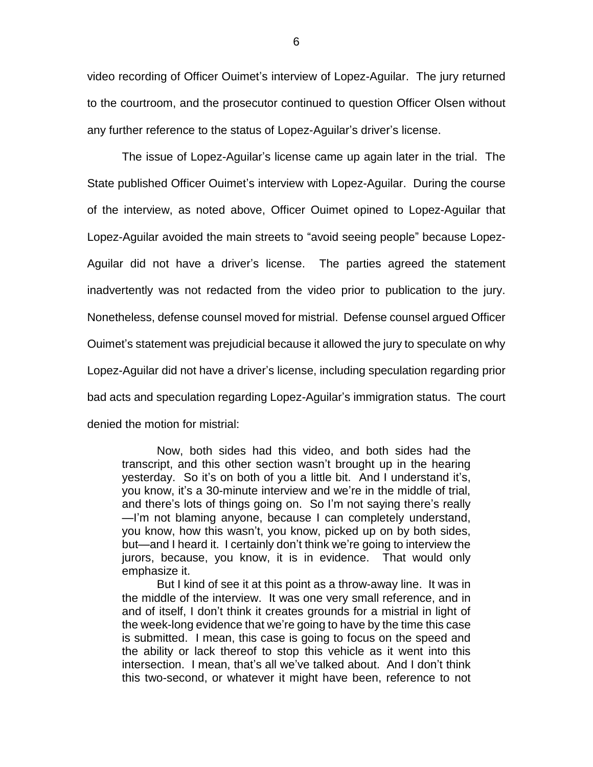video recording of Officer Ouimet's interview of Lopez-Aguilar. The jury returned to the courtroom, and the prosecutor continued to question Officer Olsen without any further reference to the status of Lopez-Aguilar's driver's license.

The issue of Lopez-Aguilar's license came up again later in the trial. The State published Officer Ouimet's interview with Lopez-Aguilar. During the course of the interview, as noted above, Officer Ouimet opined to Lopez-Aguilar that Lopez-Aguilar avoided the main streets to "avoid seeing people" because Lopez-Aguilar did not have a driver's license. The parties agreed the statement inadvertently was not redacted from the video prior to publication to the jury. Nonetheless, defense counsel moved for mistrial. Defense counsel argued Officer Ouimet's statement was prejudicial because it allowed the jury to speculate on why Lopez-Aguilar did not have a driver's license, including speculation regarding prior bad acts and speculation regarding Lopez-Aguilar's immigration status. The court denied the motion for mistrial:

Now, both sides had this video, and both sides had the transcript, and this other section wasn't brought up in the hearing yesterday. So it's on both of you a little bit. And I understand it's, you know, it's a 30-minute interview and we're in the middle of trial, and there's lots of things going on. So I'm not saying there's really —I'm not blaming anyone, because I can completely understand, you know, how this wasn't, you know, picked up on by both sides, but—and I heard it. I certainly don't think we're going to interview the jurors, because, you know, it is in evidence. That would only emphasize it.

But I kind of see it at this point as a throw-away line. It was in the middle of the interview. It was one very small reference, and in and of itself, I don't think it creates grounds for a mistrial in light of the week-long evidence that we're going to have by the time this case is submitted. I mean, this case is going to focus on the speed and the ability or lack thereof to stop this vehicle as it went into this intersection. I mean, that's all we've talked about. And I don't think this two-second, or whatever it might have been, reference to not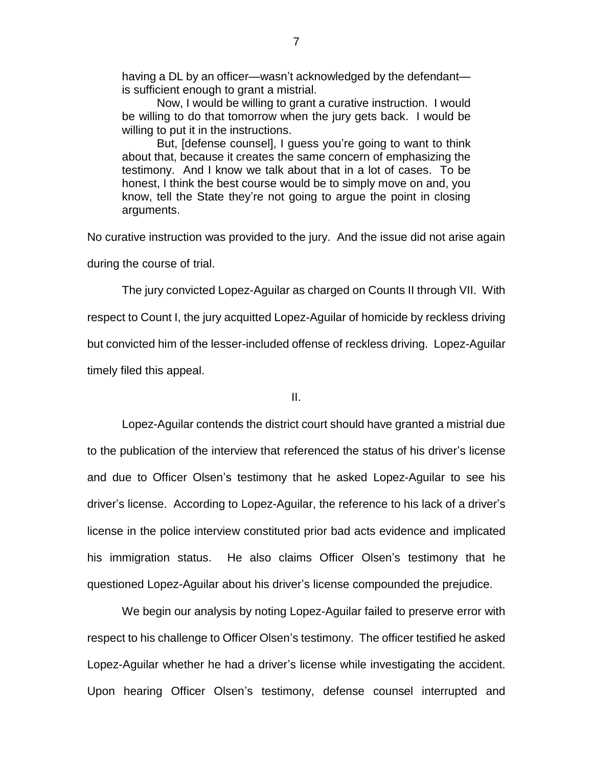having a DL by an officer—wasn't acknowledged by the defendant is sufficient enough to grant a mistrial.

Now, I would be willing to grant a curative instruction. I would be willing to do that tomorrow when the jury gets back. I would be willing to put it in the instructions.

But, [defense counsel], I guess you're going to want to think about that, because it creates the same concern of emphasizing the testimony. And I know we talk about that in a lot of cases. To be honest, I think the best course would be to simply move on and, you know, tell the State they're not going to argue the point in closing arguments.

No curative instruction was provided to the jury. And the issue did not arise again during the course of trial.

The jury convicted Lopez-Aguilar as charged on Counts II through VII. With respect to Count I, the jury acquitted Lopez-Aguilar of homicide by reckless driving but convicted him of the lesser-included offense of reckless driving. Lopez-Aguilar timely filed this appeal.

II.

Lopez-Aguilar contends the district court should have granted a mistrial due to the publication of the interview that referenced the status of his driver's license and due to Officer Olsen's testimony that he asked Lopez-Aguilar to see his driver's license. According to Lopez-Aguilar, the reference to his lack of a driver's license in the police interview constituted prior bad acts evidence and implicated his immigration status. He also claims Officer Olsen's testimony that he questioned Lopez-Aguilar about his driver's license compounded the prejudice.

We begin our analysis by noting Lopez-Aguilar failed to preserve error with respect to his challenge to Officer Olsen's testimony. The officer testified he asked Lopez-Aguilar whether he had a driver's license while investigating the accident. Upon hearing Officer Olsen's testimony, defense counsel interrupted and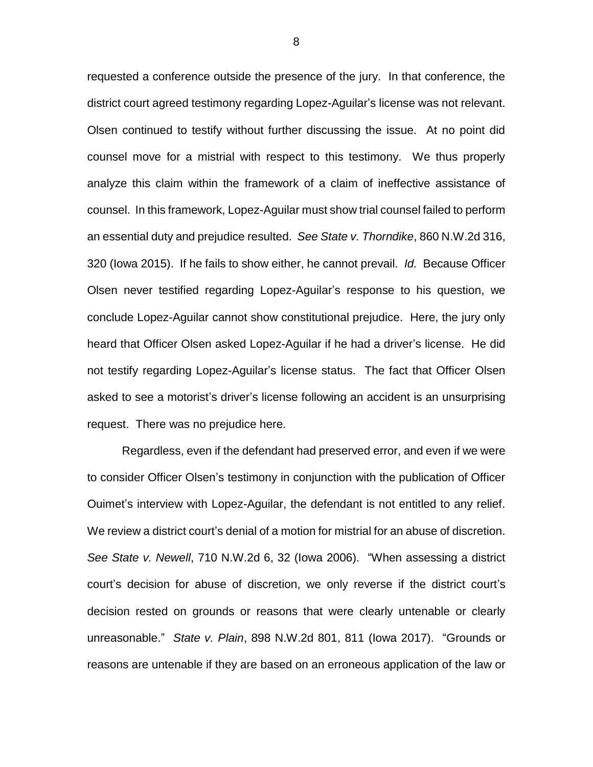requested a conference outside the presence of the jury. In that conference, the district court agreed testimony regarding Lopez-Aguilar's license was not relevant. Olsen continued to testify without further discussing the issue. At no point did counsel move for a mistrial with respect to this testimony. We thus properly analyze this claim within the framework of a claim of ineffective assistance of counsel. In this framework, Lopez-Aguilar must show trial counsel failed to perform an essential duty and prejudice resulted. *See State v. Thorndike*, 860 N.W.2d 316, 320 (Iowa 2015). If he fails to show either, he cannot prevail. *Id.* Because Officer Olsen never testified regarding Lopez-Aguilar's response to his question, we conclude Lopez-Aguilar cannot show constitutional prejudice. Here, the jury only heard that Officer Olsen asked Lopez-Aguilar if he had a driver's license. He did not testify regarding Lopez-Aguilar's license status. The fact that Officer Olsen asked to see a motorist's driver's license following an accident is an unsurprising request. There was no prejudice here.

Regardless, even if the defendant had preserved error, and even if we were to consider Officer Olsen's testimony in conjunction with the publication of Officer Ouimet's interview with Lopez-Aguilar, the defendant is not entitled to any relief. We review a district court's denial of a motion for mistrial for an abuse of discretion. *See State v. Newell*, 710 N.W.2d 6, 32 (Iowa 2006). "When assessing a district court's decision for abuse of discretion, we only reverse if the district court's decision rested on grounds or reasons that were clearly untenable or clearly unreasonable." *State v. Plain*, 898 N.W.2d 801, 811 (Iowa 2017). "Grounds or reasons are untenable if they are based on an erroneous application of the law or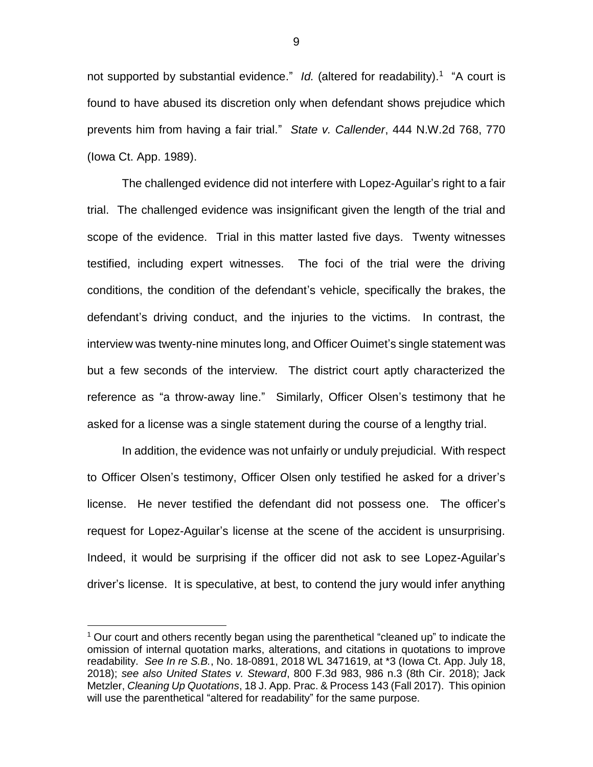not supported by substantial evidence." Id. (altered for readability).<sup>1</sup> "A court is found to have abused its discretion only when defendant shows prejudice which prevents him from having a fair trial." *State v. Callender*, 444 N.W.2d 768, 770 (Iowa Ct. App. 1989).

The challenged evidence did not interfere with Lopez-Aguilar's right to a fair trial. The challenged evidence was insignificant given the length of the trial and scope of the evidence. Trial in this matter lasted five days. Twenty witnesses testified, including expert witnesses. The foci of the trial were the driving conditions, the condition of the defendant's vehicle, specifically the brakes, the defendant's driving conduct, and the injuries to the victims. In contrast, the interview was twenty-nine minutes long, and Officer Ouimet's single statement was but a few seconds of the interview. The district court aptly characterized the reference as "a throw-away line." Similarly, Officer Olsen's testimony that he asked for a license was a single statement during the course of a lengthy trial.

In addition, the evidence was not unfairly or unduly prejudicial. With respect to Officer Olsen's testimony, Officer Olsen only testified he asked for a driver's license. He never testified the defendant did not possess one. The officer's request for Lopez-Aguilar's license at the scene of the accident is unsurprising. Indeed, it would be surprising if the officer did not ask to see Lopez-Aguilar's driver's license. It is speculative, at best, to contend the jury would infer anything

 $\overline{a}$ 

<sup>1</sup> Our court and others recently began using the parenthetical "cleaned up" to indicate the omission of internal quotation marks, alterations, and citations in quotations to improve readability. *See In re S.B.*, No. 18-0891, 2018 WL 3471619, at \*3 (Iowa Ct. App. July 18, 2018); *see also United States v. Steward*, 800 F.3d 983, 986 n.3 (8th Cir. 2018); Jack Metzler, *Cleaning Up Quotations*, 18 J. App. Prac. & Process 143 (Fall 2017). This opinion will use the parenthetical "altered for readability" for the same purpose.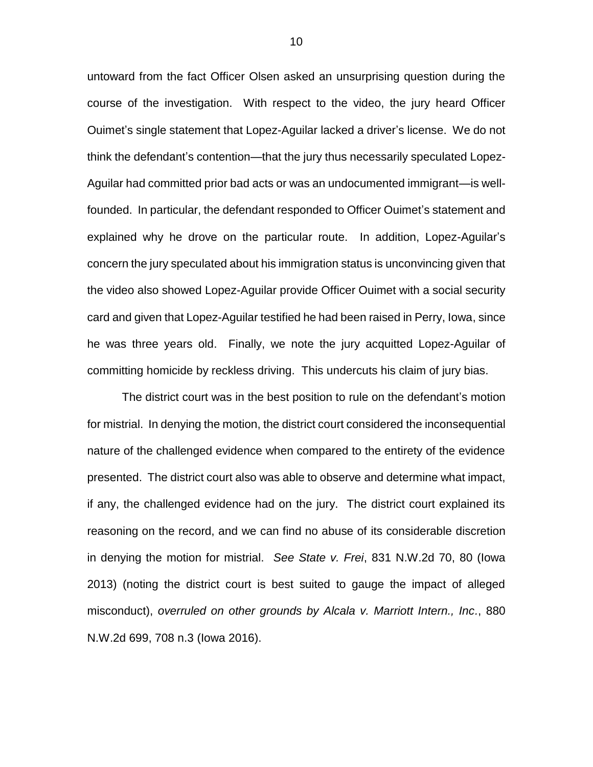untoward from the fact Officer Olsen asked an unsurprising question during the course of the investigation. With respect to the video, the jury heard Officer Ouimet's single statement that Lopez-Aguilar lacked a driver's license. We do not think the defendant's contention—that the jury thus necessarily speculated Lopez-Aguilar had committed prior bad acts or was an undocumented immigrant—is wellfounded. In particular, the defendant responded to Officer Ouimet's statement and explained why he drove on the particular route. In addition, Lopez-Aguilar's concern the jury speculated about his immigration status is unconvincing given that the video also showed Lopez-Aguilar provide Officer Ouimet with a social security card and given that Lopez-Aguilar testified he had been raised in Perry, Iowa, since he was three years old. Finally, we note the jury acquitted Lopez-Aguilar of committing homicide by reckless driving. This undercuts his claim of jury bias.

The district court was in the best position to rule on the defendant's motion for mistrial. In denying the motion, the district court considered the inconsequential nature of the challenged evidence when compared to the entirety of the evidence presented. The district court also was able to observe and determine what impact, if any, the challenged evidence had on the jury. The district court explained its reasoning on the record, and we can find no abuse of its considerable discretion in denying the motion for mistrial. *See State v. Frei*, 831 N.W.2d 70, 80 (Iowa 2013) (noting the district court is best suited to gauge the impact of alleged misconduct), *overruled on other grounds by Alcala v. Marriott Intern., Inc.*, 880 N.W.2d 699, 708 n.3 (Iowa 2016).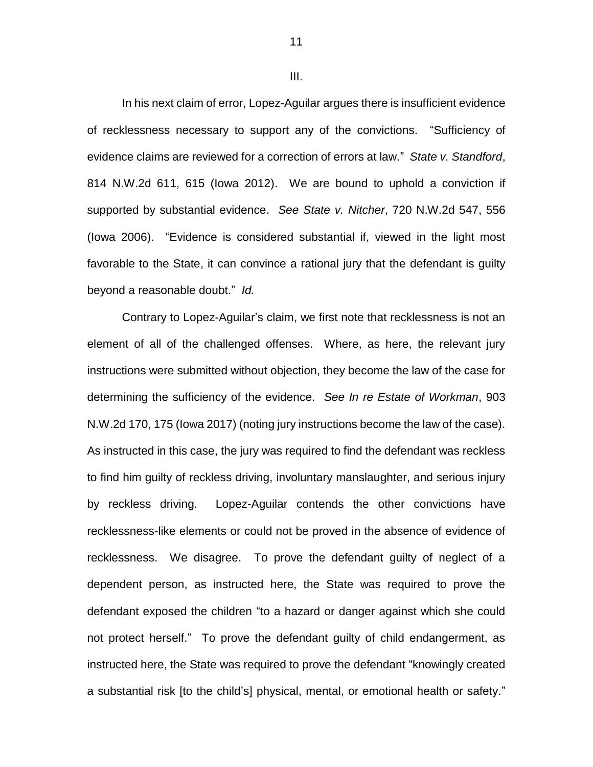III.

In his next claim of error, Lopez-Aguilar argues there is insufficient evidence of recklessness necessary to support any of the convictions. "Sufficiency of evidence claims are reviewed for a correction of errors at law." *State v. Standford*, 814 N.W.2d 611, 615 (Iowa 2012). We are bound to uphold a conviction if supported by substantial evidence. *See State v. Nitcher*, 720 N.W.2d 547, 556 (Iowa 2006). "Evidence is considered substantial if, viewed in the light most favorable to the State, it can convince a rational jury that the defendant is guilty beyond a reasonable doubt." *Id.*

Contrary to Lopez-Aguilar's claim, we first note that recklessness is not an element of all of the challenged offenses. Where, as here, the relevant jury instructions were submitted without objection, they become the law of the case for determining the sufficiency of the evidence. *See In re Estate of Workman*, 903 N.W.2d 170, 175 (Iowa 2017) (noting jury instructions become the law of the case). As instructed in this case, the jury was required to find the defendant was reckless to find him guilty of reckless driving, involuntary manslaughter, and serious injury by reckless driving. Lopez-Aguilar contends the other convictions have recklessness-like elements or could not be proved in the absence of evidence of recklessness. We disagree. To prove the defendant guilty of neglect of a dependent person, as instructed here, the State was required to prove the defendant exposed the children "to a hazard or danger against which she could not protect herself." To prove the defendant guilty of child endangerment, as instructed here, the State was required to prove the defendant "knowingly created a substantial risk [to the child's] physical, mental, or emotional health or safety."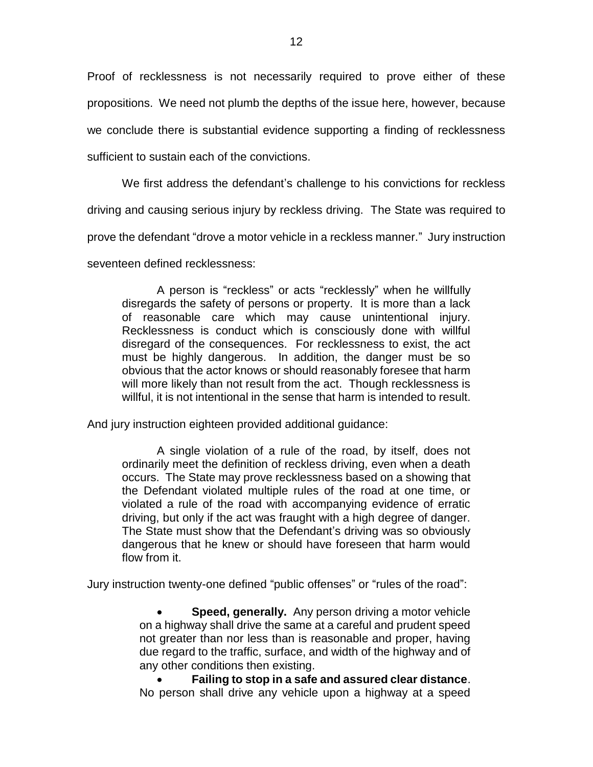Proof of recklessness is not necessarily required to prove either of these propositions. We need not plumb the depths of the issue here, however, because we conclude there is substantial evidence supporting a finding of recklessness sufficient to sustain each of the convictions.

We first address the defendant's challenge to his convictions for reckless

driving and causing serious injury by reckless driving. The State was required to

prove the defendant "drove a motor vehicle in a reckless manner." Jury instruction

seventeen defined recklessness:

A person is "reckless" or acts "recklessly" when he willfully disregards the safety of persons or property. It is more than a lack of reasonable care which may cause unintentional injury. Recklessness is conduct which is consciously done with willful disregard of the consequences. For recklessness to exist, the act must be highly dangerous. In addition, the danger must be so obvious that the actor knows or should reasonably foresee that harm will more likely than not result from the act. Though recklessness is willful, it is not intentional in the sense that harm is intended to result.

And jury instruction eighteen provided additional guidance:

A single violation of a rule of the road, by itself, does not ordinarily meet the definition of reckless driving, even when a death occurs. The State may prove recklessness based on a showing that the Defendant violated multiple rules of the road at one time, or violated a rule of the road with accompanying evidence of erratic driving, but only if the act was fraught with a high degree of danger. The State must show that the Defendant's driving was so obviously dangerous that he knew or should have foreseen that harm would flow from it.

Jury instruction twenty-one defined "public offenses" or "rules of the road":

 **Speed, generally.** Any person driving a motor vehicle on a highway shall drive the same at a careful and prudent speed not greater than nor less than is reasonable and proper, having due regard to the traffic, surface, and width of the highway and of any other conditions then existing.

 **Failing to stop in a safe and assured clear distance**. No person shall drive any vehicle upon a highway at a speed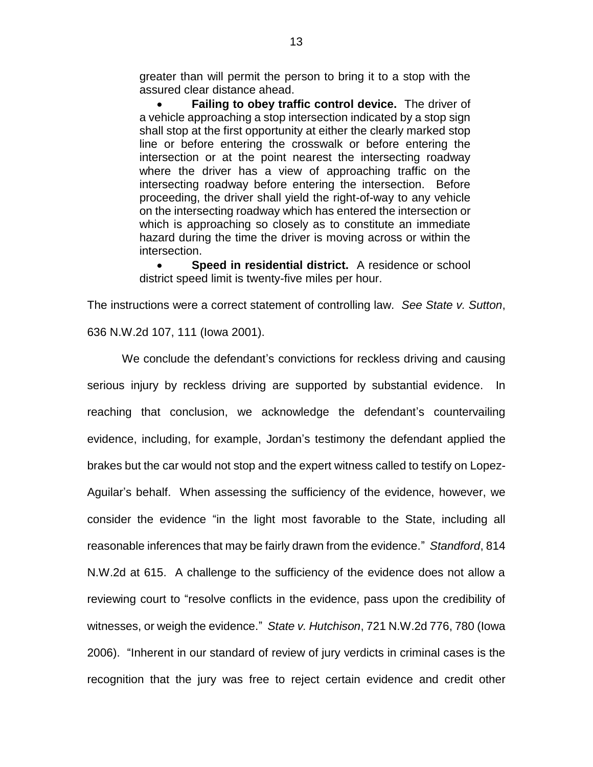greater than will permit the person to bring it to a stop with the assured clear distance ahead.

 **Failing to obey traffic control device.** The driver of a vehicle approaching a stop intersection indicated by a stop sign shall stop at the first opportunity at either the clearly marked stop line or before entering the crosswalk or before entering the intersection or at the point nearest the intersecting roadway where the driver has a view of approaching traffic on the intersecting roadway before entering the intersection. Before proceeding, the driver shall yield the right-of-way to any vehicle on the intersecting roadway which has entered the intersection or which is approaching so closely as to constitute an immediate hazard during the time the driver is moving across or within the intersection.

 **Speed in residential district.** A residence or school district speed limit is twenty-five miles per hour.

The instructions were a correct statement of controlling law. *See State v. Sutton*, 636 N.W.2d 107, 111 (Iowa 2001).

We conclude the defendant's convictions for reckless driving and causing serious injury by reckless driving are supported by substantial evidence. In reaching that conclusion, we acknowledge the defendant's countervailing evidence, including, for example, Jordan's testimony the defendant applied the brakes but the car would not stop and the expert witness called to testify on Lopez-Aguilar's behalf. When assessing the sufficiency of the evidence, however, we consider the evidence "in the light most favorable to the State, including all reasonable inferences that may be fairly drawn from the evidence." *Standford*, 814 N.W.2d at 615. A challenge to the sufficiency of the evidence does not allow a reviewing court to "resolve conflicts in the evidence, pass upon the credibility of witnesses, or weigh the evidence." *State v. Hutchison*, 721 N.W.2d 776, 780 (Iowa 2006). "Inherent in our standard of review of jury verdicts in criminal cases is the recognition that the jury was free to reject certain evidence and credit other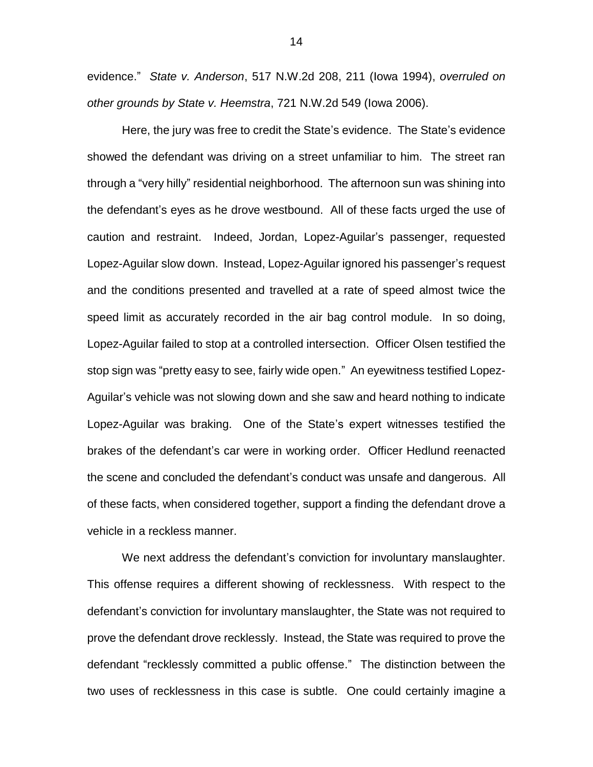evidence." *State v. Anderson*, 517 N.W.2d 208, 211 (Iowa 1994), *overruled on other grounds by State v. Heemstra*, 721 N.W.2d 549 (Iowa 2006).

Here, the jury was free to credit the State's evidence. The State's evidence showed the defendant was driving on a street unfamiliar to him. The street ran through a "very hilly" residential neighborhood. The afternoon sun was shining into the defendant's eyes as he drove westbound. All of these facts urged the use of caution and restraint. Indeed, Jordan, Lopez-Aguilar's passenger, requested Lopez-Aguilar slow down. Instead, Lopez-Aguilar ignored his passenger's request and the conditions presented and travelled at a rate of speed almost twice the speed limit as accurately recorded in the air bag control module. In so doing, Lopez-Aguilar failed to stop at a controlled intersection. Officer Olsen testified the stop sign was "pretty easy to see, fairly wide open." An eyewitness testified Lopez-Aguilar's vehicle was not slowing down and she saw and heard nothing to indicate Lopez-Aguilar was braking. One of the State's expert witnesses testified the brakes of the defendant's car were in working order. Officer Hedlund reenacted the scene and concluded the defendant's conduct was unsafe and dangerous. All of these facts, when considered together, support a finding the defendant drove a vehicle in a reckless manner.

We next address the defendant's conviction for involuntary manslaughter. This offense requires a different showing of recklessness. With respect to the defendant's conviction for involuntary manslaughter, the State was not required to prove the defendant drove recklessly. Instead, the State was required to prove the defendant "recklessly committed a public offense." The distinction between the two uses of recklessness in this case is subtle. One could certainly imagine a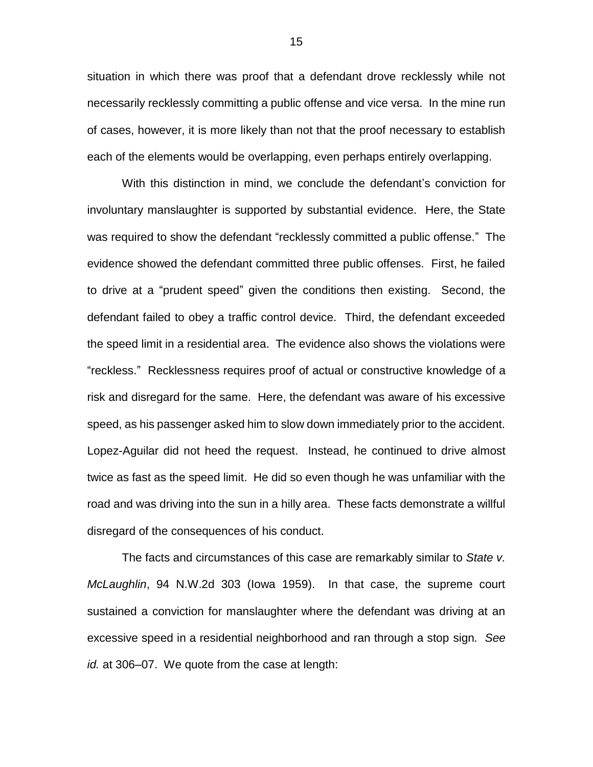situation in which there was proof that a defendant drove recklessly while not necessarily recklessly committing a public offense and vice versa. In the mine run of cases, however, it is more likely than not that the proof necessary to establish each of the elements would be overlapping, even perhaps entirely overlapping.

With this distinction in mind, we conclude the defendant's conviction for involuntary manslaughter is supported by substantial evidence. Here, the State was required to show the defendant "recklessly committed a public offense." The evidence showed the defendant committed three public offenses. First, he failed to drive at a "prudent speed" given the conditions then existing. Second, the defendant failed to obey a traffic control device. Third, the defendant exceeded the speed limit in a residential area. The evidence also shows the violations were "reckless." Recklessness requires proof of actual or constructive knowledge of a risk and disregard for the same. Here, the defendant was aware of his excessive speed, as his passenger asked him to slow down immediately prior to the accident. Lopez-Aguilar did not heed the request. Instead, he continued to drive almost twice as fast as the speed limit. He did so even though he was unfamiliar with the road and was driving into the sun in a hilly area. These facts demonstrate a willful disregard of the consequences of his conduct.

The facts and circumstances of this case are remarkably similar to *State v. McLaughlin*, 94 N.W.2d 303 (Iowa 1959). In that case, the supreme court sustained a conviction for manslaughter where the defendant was driving at an excessive speed in a residential neighborhood and ran through a stop sign*. See id.* at 306–07. We quote from the case at length: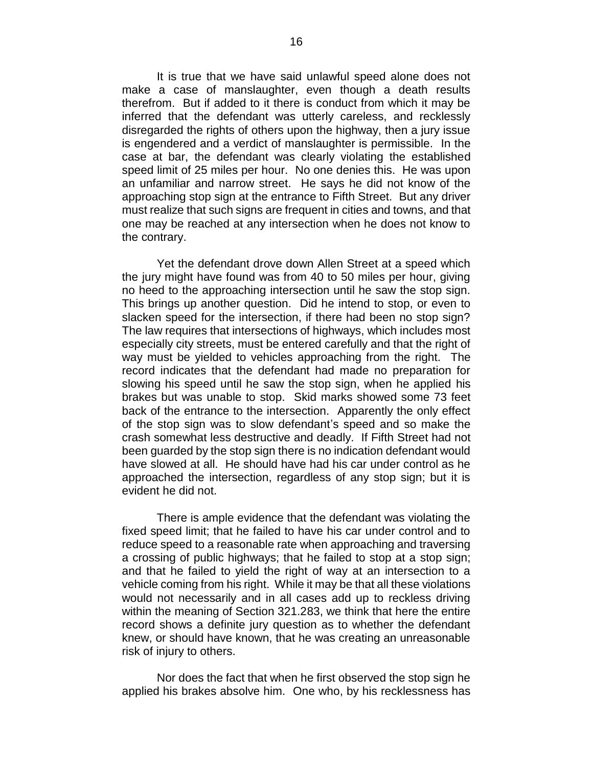It is true that we have said unlawful speed alone does not make a case of manslaughter, even though a death results therefrom. But if added to it there is conduct from which it may be inferred that the defendant was utterly careless, and recklessly disregarded the rights of others upon the highway, then a jury issue is engendered and a verdict of manslaughter is permissible. In the case at bar, the defendant was clearly violating the established speed limit of 25 miles per hour. No one denies this. He was upon an unfamiliar and narrow street. He says he did not know of the approaching stop sign at the entrance to Fifth Street. But any driver must realize that such signs are frequent in cities and towns, and that one may be reached at any intersection when he does not know to the contrary.

Yet the defendant drove down Allen Street at a speed which the jury might have found was from 40 to 50 miles per hour, giving no heed to the approaching intersection until he saw the stop sign. This brings up another question. Did he intend to stop, or even to slacken speed for the intersection, if there had been no stop sign? The law requires that intersections of highways, which includes most especially city streets, must be entered carefully and that the right of way must be yielded to vehicles approaching from the right. The record indicates that the defendant had made no preparation for slowing his speed until he saw the stop sign, when he applied his brakes but was unable to stop. Skid marks showed some 73 feet back of the entrance to the intersection. Apparently the only effect of the stop sign was to slow defendant's speed and so make the crash somewhat less destructive and deadly. If Fifth Street had not been guarded by the stop sign there is no indication defendant would have slowed at all. He should have had his car under control as he approached the intersection, regardless of any stop sign; but it is evident he did not.

There is ample evidence that the defendant was violating the fixed speed limit; that he failed to have his car under control and to reduce speed to a reasonable rate when approaching and traversing a crossing of public highways; that he failed to stop at a stop sign; and that he failed to yield the right of way at an intersection to a vehicle coming from his right. While it may be that all these violations would not necessarily and in all cases add up to reckless driving within the meaning of Section 321.283, we think that here the entire record shows a definite jury question as to whether the defendant knew, or should have known, that he was creating an unreasonable risk of injury to others.

Nor does the fact that when he first observed the stop sign he applied his brakes absolve him. One who, by his recklessness has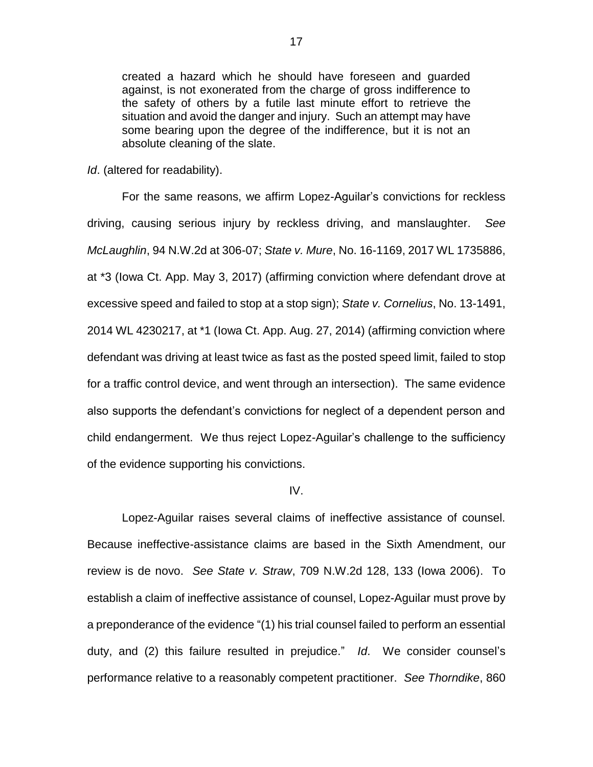created a hazard which he should have foreseen and guarded against, is not exonerated from the charge of gross indifference to the safety of others by a futile last minute effort to retrieve the situation and avoid the danger and injury. Such an attempt may have some bearing upon the degree of the indifference, but it is not an absolute cleaning of the slate.

*Id*. (altered for readability).

For the same reasons, we affirm Lopez-Aguilar's convictions for reckless driving, causing serious injury by reckless driving, and manslaughter. *See McLaughlin*, 94 N.W.2d at 306-07; *State v. Mure*, No. 16-1169, 2017 WL 1735886, at \*3 (Iowa Ct. App. May 3, 2017) (affirming conviction where defendant drove at excessive speed and failed to stop at a stop sign); *State v. Cornelius*, No. 13-1491, 2014 WL 4230217, at \*1 (Iowa Ct. App. Aug. 27, 2014) (affirming conviction where defendant was driving at least twice as fast as the posted speed limit, failed to stop for a traffic control device, and went through an intersection). The same evidence also supports the defendant's convictions for neglect of a dependent person and child endangerment. We thus reject Lopez-Aguilar's challenge to the sufficiency of the evidence supporting his convictions.

## IV.

Lopez-Aguilar raises several claims of ineffective assistance of counsel. Because ineffective-assistance claims are based in the Sixth Amendment, our review is de novo. *See State v. Straw*, 709 N.W.2d 128, 133 (Iowa 2006). To establish a claim of ineffective assistance of counsel, Lopez-Aguilar must prove by a preponderance of the evidence "(1) his trial counsel failed to perform an essential duty, and (2) this failure resulted in prejudice." *Id*. We consider counsel's performance relative to a reasonably competent practitioner. *See Thorndike*, 860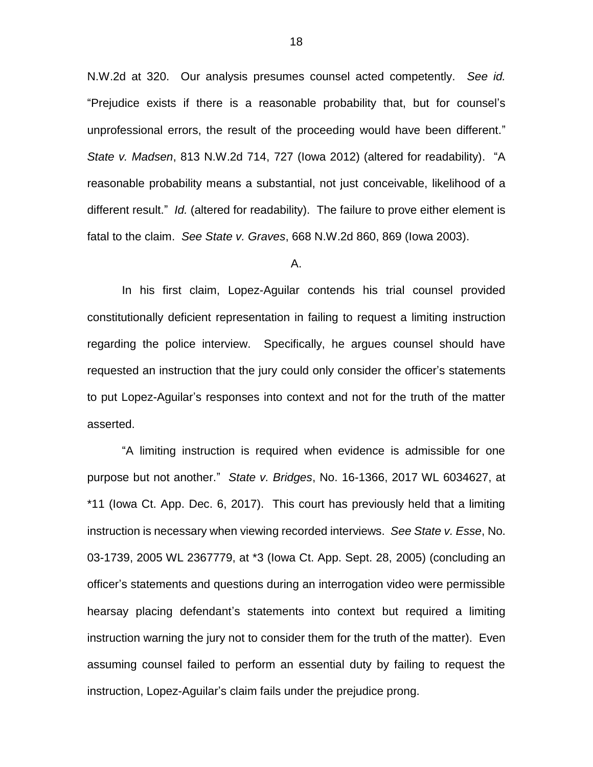N.W.2d at 320. Our analysis presumes counsel acted competently. *See id.* "Prejudice exists if there is a reasonable probability that, but for counsel's unprofessional errors, the result of the proceeding would have been different." *State v. Madsen*, 813 N.W.2d 714, 727 (Iowa 2012) (altered for readability). "A reasonable probability means a substantial, not just conceivable, likelihood of a different result." *Id.* (altered for readability). The failure to prove either element is fatal to the claim. *See State v. Graves*, 668 N.W.2d 860, 869 (Iowa 2003).

A.

In his first claim, Lopez-Aguilar contends his trial counsel provided constitutionally deficient representation in failing to request a limiting instruction regarding the police interview. Specifically, he argues counsel should have requested an instruction that the jury could only consider the officer's statements to put Lopez-Aguilar's responses into context and not for the truth of the matter asserted.

"A limiting instruction is required when evidence is admissible for one purpose but not another." *State v. Bridges*, No. 16-1366, 2017 WL 6034627, at \*11 (Iowa Ct. App. Dec. 6, 2017). This court has previously held that a limiting instruction is necessary when viewing recorded interviews. *See State v. Esse*, No. 03-1739, 2005 WL 2367779, at \*3 (Iowa Ct. App. Sept. 28, 2005) (concluding an officer's statements and questions during an interrogation video were permissible hearsay placing defendant's statements into context but required a limiting instruction warning the jury not to consider them for the truth of the matter). Even assuming counsel failed to perform an essential duty by failing to request the instruction, Lopez-Aguilar's claim fails under the prejudice prong.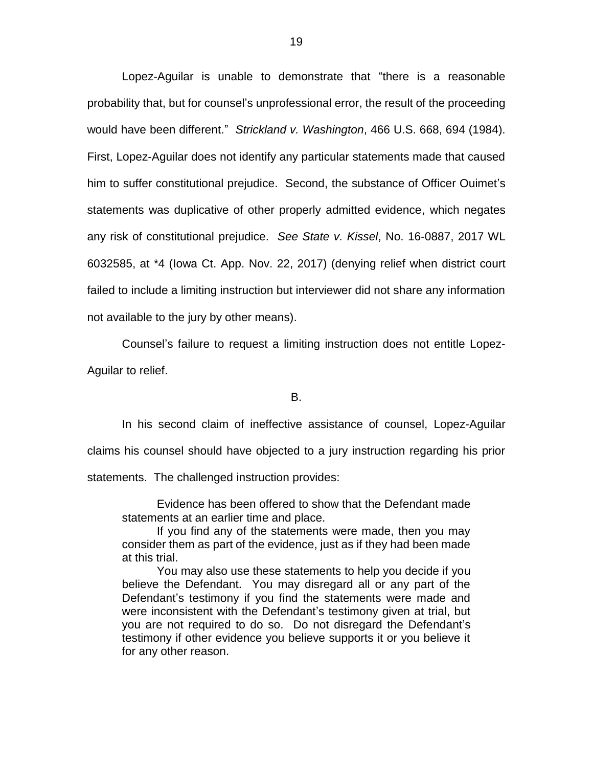Lopez-Aguilar is unable to demonstrate that "there is a reasonable probability that, but for counsel's unprofessional error, the result of the proceeding would have been different." *Strickland v. Washington*, 466 U.S. 668, 694 (1984). First, Lopez-Aguilar does not identify any particular statements made that caused him to suffer constitutional prejudice. Second, the substance of Officer Ouimet's statements was duplicative of other properly admitted evidence, which negates any risk of constitutional prejudice. *See State v. Kissel*, No. 16-0887, 2017 WL 6032585, at \*4 (Iowa Ct. App. Nov. 22, 2017) (denying relief when district court failed to include a limiting instruction but interviewer did not share any information not available to the jury by other means).

Counsel's failure to request a limiting instruction does not entitle Lopez-Aguilar to relief.

B.

In his second claim of ineffective assistance of counsel, Lopez-Aguilar claims his counsel should have objected to a jury instruction regarding his prior statements. The challenged instruction provides:

Evidence has been offered to show that the Defendant made statements at an earlier time and place.

If you find any of the statements were made, then you may consider them as part of the evidence, just as if they had been made at this trial.

You may also use these statements to help you decide if you believe the Defendant. You may disregard all or any part of the Defendant's testimony if you find the statements were made and were inconsistent with the Defendant's testimony given at trial, but you are not required to do so. Do not disregard the Defendant's testimony if other evidence you believe supports it or you believe it for any other reason.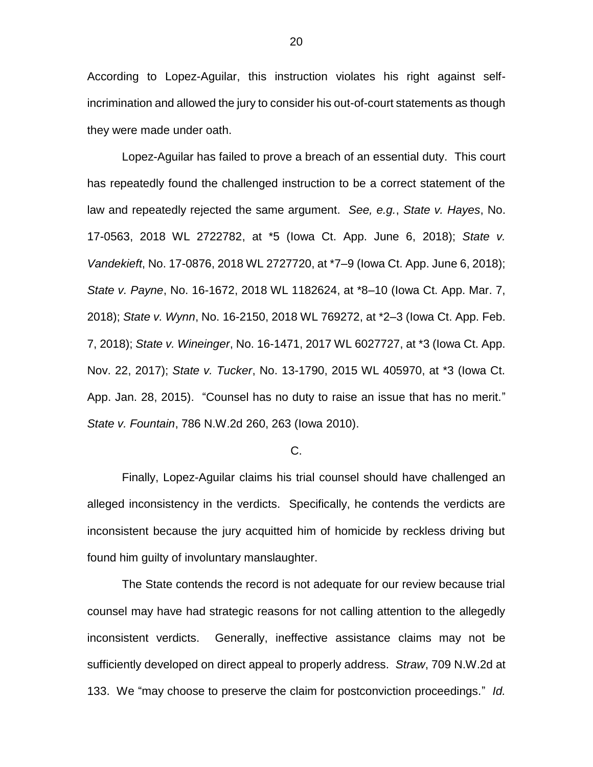According to Lopez-Aguilar, this instruction violates his right against selfincrimination and allowed the jury to consider his out-of-court statements as though they were made under oath.

Lopez-Aguilar has failed to prove a breach of an essential duty. This court has repeatedly found the challenged instruction to be a correct statement of the law and repeatedly rejected the same argument. *See, e.g.*, *State v. Hayes*, No. 17-0563, 2018 WL 2722782, at \*5 (Iowa Ct. App. June 6, 2018); *State v. Vandekieft*, No. 17-0876, 2018 WL 2727720, at \*7–9 (Iowa Ct. App. June 6, 2018); *State v. Payne*, No. 16-1672, 2018 WL 1182624, at \*8–10 (Iowa Ct. App. Mar. 7, 2018); *State v. Wynn*, No. 16-2150, 2018 WL 769272, at \*2–3 (Iowa Ct. App. Feb. 7, 2018); *State v. Wineinger*, No. 16-1471, 2017 WL 6027727, at \*3 (Iowa Ct. App. Nov. 22, 2017); *State v. Tucker*, No. 13-1790, 2015 WL 405970, at \*3 (Iowa Ct. App. Jan. 28, 2015). "Counsel has no duty to raise an issue that has no merit." *State v. Fountain*, 786 N.W.2d 260, 263 (Iowa 2010).

#### C.

Finally, Lopez-Aguilar claims his trial counsel should have challenged an alleged inconsistency in the verdicts. Specifically, he contends the verdicts are inconsistent because the jury acquitted him of homicide by reckless driving but found him guilty of involuntary manslaughter.

The State contends the record is not adequate for our review because trial counsel may have had strategic reasons for not calling attention to the allegedly inconsistent verdicts. Generally, ineffective assistance claims may not be sufficiently developed on direct appeal to properly address. *Straw*, 709 N.W.2d at 133. We "may choose to preserve the claim for postconviction proceedings." *Id.*